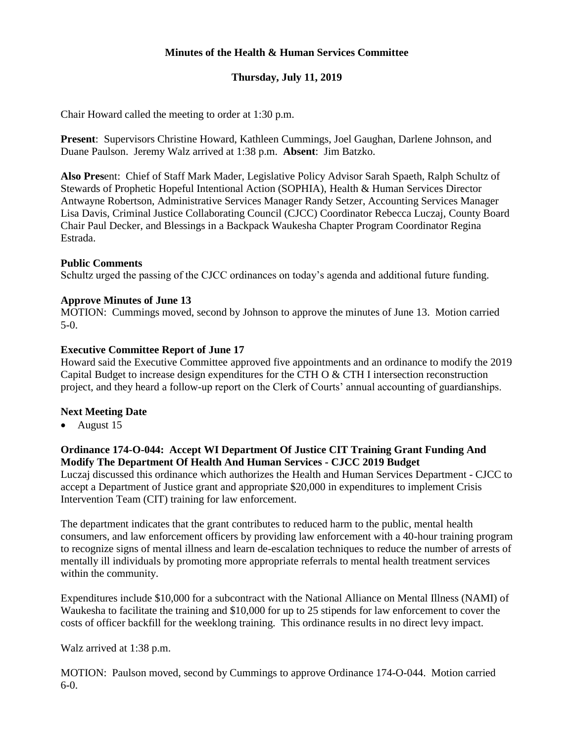## **Minutes of the Health & Human Services Committee**

# **Thursday, July 11, 2019**

Chair Howard called the meeting to order at 1:30 p.m.

**Present**: Supervisors Christine Howard, Kathleen Cummings, Joel Gaughan, Darlene Johnson, and Duane Paulson. Jeremy Walz arrived at 1:38 p.m. **Absent**: Jim Batzko.

**Also Pres**ent: Chief of Staff Mark Mader, Legislative Policy Advisor Sarah Spaeth, Ralph Schultz of Stewards of Prophetic Hopeful Intentional Action (SOPHIA), Health & Human Services Director Antwayne Robertson, Administrative Services Manager Randy Setzer, Accounting Services Manager Lisa Davis, Criminal Justice Collaborating Council (CJCC) Coordinator Rebecca Luczaj, County Board Chair Paul Decker, and Blessings in a Backpack Waukesha Chapter Program Coordinator Regina Estrada.

#### **Public Comments**

Schultz urged the passing of the CJCC ordinances on today's agenda and additional future funding.

#### **Approve Minutes of June 13**

MOTION: Cummings moved, second by Johnson to approve the minutes of June 13. Motion carried 5-0.

#### **Executive Committee Report of June 17**

Howard said the Executive Committee approved five appointments and an ordinance to modify the 2019 Capital Budget to increase design expenditures for the CTH O & CTH I intersection reconstruction project, and they heard a follow-up report on the Clerk of Courts' annual accounting of guardianships.

### **Next Meeting Date**

• August 15

### **Ordinance 174-O-044: Accept WI Department Of Justice CIT Training Grant Funding And Modify The Department Of Health And Human Services - CJCC 2019 Budget**

Luczaj discussed this ordinance which authorizes the Health and Human Services Department - CJCC to accept a Department of Justice grant and appropriate \$20,000 in expenditures to implement Crisis Intervention Team (CIT) training for law enforcement.

The department indicates that the grant contributes to reduced harm to the public, mental health consumers, and law enforcement officers by providing law enforcement with a 40-hour training program to recognize signs of mental illness and learn de-escalation techniques to reduce the number of arrests of mentally ill individuals by promoting more appropriate referrals to mental health treatment services within the community.

Expenditures include \$10,000 for a subcontract with the National Alliance on Mental Illness (NAMI) of Waukesha to facilitate the training and \$10,000 for up to 25 stipends for law enforcement to cover the costs of officer backfill for the weeklong training. This ordinance results in no direct levy impact.

Walz arrived at 1:38 p.m.

MOTION: Paulson moved, second by Cummings to approve Ordinance 174-O-044. Motion carried 6-0.